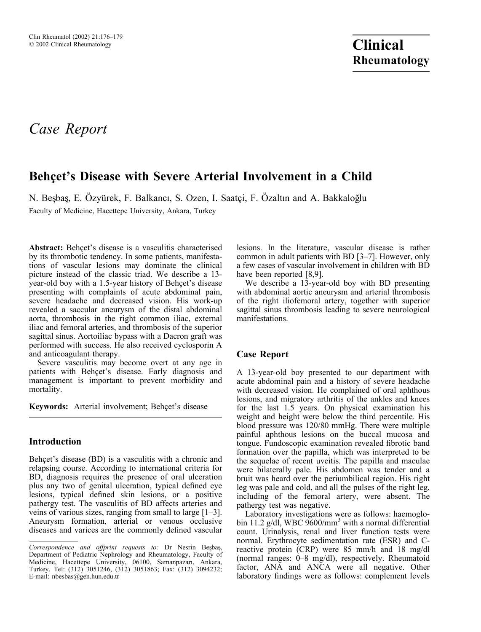# Case Report

## Behçet's Disease with Severe Arterial Involvement in a Child

N. Besbas, E. Özyürek, F. Balkancı, S. Ozen, I. Saatçi, F. Özaltın and A. Bakkaloğlu

Faculty of Medicine, Hacettepe University, Ankara, Turkey

Abstract: Behçet's disease is a vasculitis characterised by its thrombotic tendency. In some patients, manifestations of vascular lesions may dominate the clinical picture instead of the classic triad. We describe a 13 year-old boy with a 1.5-year history of Behçet's disease presenting with complaints of acute abdominal pain, severe headache and decreased vision. His work-up revealed a saccular aneurysm of the distal abdominal aorta, thrombosis in the right common iliac, external iliac and femoral arteries, and thrombosis of the superior sagittal sinus. Aortoiliac bypass with a Dacron graft was performed with success. He also received cyclosporin A and anticoagulant therapy.

Severe vasculitis may become overt at any age in patients with Behçet's disease. Early diagnosis and management is important to prevent morbidity and mortality.

Keywords: Arterial involvement; Behçet's disease

#### Introduction

Behcet's disease (BD) is a vasculitis with a chronic and relapsing course. According to international criteria for BD, diagnosis requires the presence of oral ulceration plus any two of genital ulceration, typical defined eye lesions, typical defined skin lesions, or a positive pathergy test. The vasculitis of BD affects arteries and veins of various sizes, ranging from small to large [1–3]. Aneurysm formation, arterial or venous occlusive diseases and varices are the commonly defined vascular

lesions. In the literature, vascular disease is rather common in adult patients with BD [3–7]. However, only a few cases of vascular involvement in children with BD have been reported [8,9].

We describe a 13-year-old boy with BD presenting with abdominal aortic aneurysm and arterial thrombosis of the right iliofemoral artery, together with superior sagittal sinus thrombosis leading to severe neurological manifestations.

### Case Report

A 13-year-old boy presented to our department with acute abdominal pain and a history of severe headache with decreased vision. He complained of oral aphthous lesions, and migratory arthritis of the ankles and knees for the last 1.5 years. On physical examination his weight and height were below the third percentile. His blood pressure was 120/80 mmHg. There were multiple painful aphthous lesions on the buccal mucosa and tongue. Fundoscopic examination revealed fibrotic band formation over the papilla, which was interpreted to be the sequelae of recent uveitis. The papilla and maculae were bilaterally pale. His abdomen was tender and a bruit was heard over the periumbilical region. His right leg was pale and cold, and all the pulses of the right leg, including of the femoral artery, were absent. The pathergy test was negative.

Laboratory investigations were as follows: haemoglobin 11.2 g/dl, WBC  $9600/\text{mm}^3$  with a normal differential count. Urinalysis, renal and liver function tests were normal. Erythrocyte sedimentation rate (ESR) and Creactive protein (CRP) were 85 mm/h and 18 mg/dl (normal ranges: 0–8 mg/dl), respectively. Rheumatoid factor, ANA and ANCA were all negative. Other laboratory findings were as follows: complement levels

Correspondence and offprint requests to: Dr Nesrin Besbas, Department of Pediatric Nephrology and Rheumatology, Faculty of Medicine, Hacettepe University, 06100, Samanpazarı, Ankara, Turkey. Tel: (312) 3051246, (312) 3051863; Fax: (312) 3094232; E-mail: nbesbas@gen.hun.edu.tr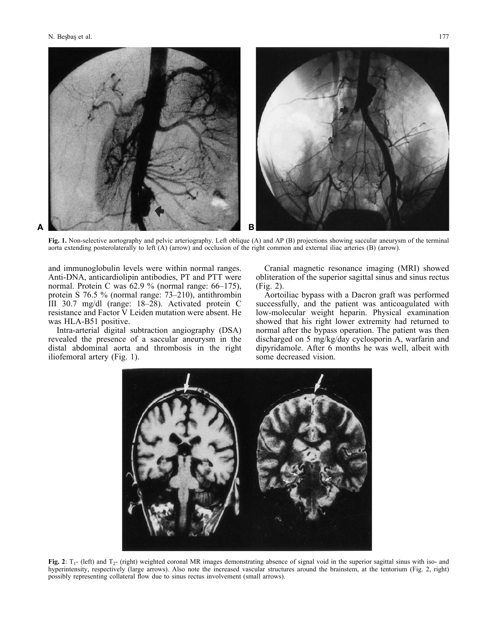

Fig. 1. Non-selective aortography and pelvic arteriography. Left oblique (A) and AP (B) projections showing saccular aneurysm of the terminal aorta extending posterolaterally to left (A) (arrow) and occlusion of the right common and external iliac arteries (B) (arrow).

and immunoglobulin levels were within normal ranges. Anti-DNA, anticardiolipin antibodies, PT and PTT were normal. Protein C was 62.9 % (normal range: 66–175), protein S 76.5 % (normal range: 73–210), antithrombin III 30.7 mg/dl (range: 18–28). Activated protein C resistance and Factor V Leiden mutation were absent. He was HLA-B51 positive.

Intra-arterial digital subtraction angiography (DSA) revealed the presence of a saccular aneurysm in the distal abdominal aorta and thrombosis in the right iliofemoral artery (Fig. 1).

Cranial magnetic resonance imaging (MRI) showed obliteration of the superior sagittal sinus and sinus rectus (Fig. 2).

Aortoiliac bypass with a Dacron graft was performed successfully, and the patient was anticoagulated with low-molecular weight heparin. Physical examination showed that his right lower extremity had returned to normal after the bypass operation. The patient was then discharged on 5 mg/kg/day cyclosporin A, warfarin and dipyridamole. After 6 months he was well, albeit with some decreased vision.



Fig. 2:  $T_1$ - (left) and  $T_2$ - (right) weighted coronal MR images demonstrating absence of signal void in the superior sagittal sinus with iso- and hyperintensity, respectively (large arrows). Also note the increased vascular structures around the brainstem, at the tentorium (Fig. 2, right) possibly representing collateral flow due to sinus rectus involvement (small arrows).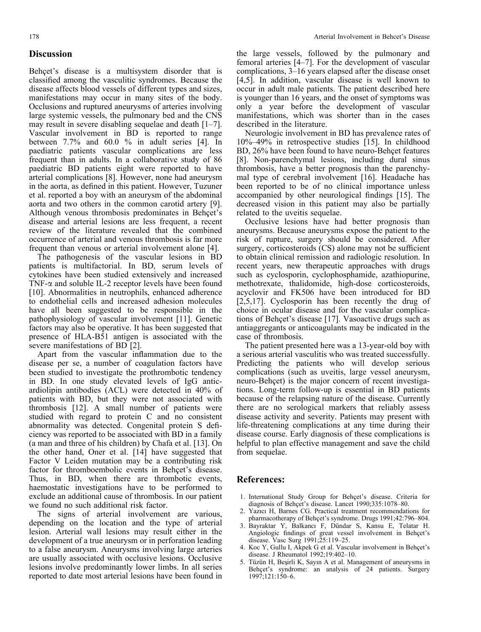#### Discussion

Behcet's disease is a multisystem disorder that is classified among the vasculitic syndromes. Because the disease affects blood vessels of different types and sizes, manifestations may occur in many sites of the body. Occlusions and ruptured aneurysms of arteries involving large systemic vessels, the pulmonary bed and the CNS may result in severe disabling sequelae and death [1–7]. Vascular involvement in BD is reported to range between 7.7% and 60.0 % in adult series [4]. In paediatric patients vascular complications are less frequent than in adults. In a collaborative study of 86 paediatric BD patients eight were reported to have arterial complications [8]. However, none had aneurysm in the aorta, as defined in this patient. However, Tuzuner et al. reported a boy with an aneurysm of the abdominal aorta and two others in the common carotid artery [9]. Although venous thrombosis predominates in Behçet's disease and arterial lesions are less frequent, a recent review of the literature revealed that the combined occurrence of arterial and venous thrombosis is far more frequent than venous or arterial involvement alone [4].

The pathogenesis of the vascular lesions in BD patients is multifactorial. In BD, serum levels of cytokines have been studied extensively and increased TNF-*a* and soluble IL-2 receptor levels have been found [10]. Abnormalities in neutrophils, enhanced adherence to endothelial cells and increased adhesion molecules have all been suggested to be responsible in the pathophysiology of vascular involvement [11]. Genetic factors may also be operative. It has been suggested that presence of HLA-B51 antigen is associated with the severe manifestations of BD [2].

Apart from the vascular inflammation due to the disease per se, a number of coagulation factors have been studied to investigate the prothrombotic tendency in BD. In one study elevated levels of IgG anticardiolipin antibodies (ACL) were detected in 40% of patients with BD, but they were not associated with thrombosis [12]. A small number of patients were studied with regard to protein C and no consistent abnormality was detected. Congenital protein S deficiency was reported to be associated with BD in a family (a man and three of his children) by Chafa et al. [13]. On the other hand, Oner et al. [14] have suggested that Factor V Leiden mutation may be a contributing risk factor for thromboembolic events in Behçet's disease. Thus, in BD, when there are thrombotic events, haemostatic investigations have to be performed to exclude an additional cause of thrombosis. In our patient we found no such additional risk factor.

The signs of arterial involvement are various, depending on the location and the type of arterial lesion. Arterial wall lesions may result either in the development of a true aneurysm or in perforation leading to a false aneurysm. Aneurysms involving large arteries are usually associated with occlusive lesions. Occlusive lesions involve predominantly lower limbs. In all series reported to date most arterial lesions have been found in

described in the literature. Neurologic involvement in BD has prevalence rates of 10%–49% in retrospective studies [15]. In childhood BD, 26% have been found to have neuro-Behçet features [8]. Non-parenchymal lesions, including dural sinus thrombosis, have a better prognosis than the parenchymal type of cerebral involvement [16]. Headache has been reported to be of no clinical importance unless accompanied by other neurological findings [15]. The decreased vision in this patient may also be partially related to the uveitis sequelae.

Occlusive lesions have had better prognosis than aneurysms. Because aneurysms expose the patient to the risk of rupture, surgery should be considered. After surgery, corticosteroids (CS) alone may not be sufficient to obtain clinical remission and radiologic resolution. In recent years, new therapeutic approaches with drugs such as cyclosporin, cyclophosphamide, azathiopurine, methotrexate, thalidomide, high-dose corticosteroids, acyclovir and FK506 have been introduced for BD [2,5,17]. Cyclosporin has been recently the drug of choice in ocular disease and for the vascular complications of Behçet's disease [17]. Vasoactive drugs such as antiaggregants or anticoagulants may be indicated in the case of thrombosis.

The patient presented here was a 13-year-old boy with a serious arterial vasculitis who was treated successfully. Predicting the patients who will develop serious complications (such as uveitis, large vessel aneurysm, neuro-Behçet) is the major concern of recent investigations. Long-term follow-up is essential in BD patients because of the relapsing nature of the disease. Currently there are no serological markers that reliably assess disease activity and severity. Patients may present with life-threatening complications at any time during their disease course. Early diagnosis of these complications is helpful to plan effective management and save the child from sequelae.

#### References:

- 1. International Study Group for Behcet's disease. Criteria for diagnosis of Behcet's disease. Lancet 1990:335:1078-80.
- 2. Yazıcı H, Barnes CG. Practical treatment recommendations for pharmacotherapy of Behçet's syndrome. Drugs 1991;42:796-804.
- 3. Bayraktar Y, Balkancı F, Dündar S, Kansu E, Telatar H. Angiologic findings of great vessel involvement in Behcet's disease. Vasc Surg 1991;25:119–25.
- 4. Koc Y, Gullu I, Akpek G et al. Vascular involvement in Behçet's disease. J Rheumatol 1992;19:402–10.
- Tüzün H, Beşirli K, Sayın A et al. Management of aneurysms in Behçet's syndrome: an analysis of 24 patients. Surgery 1997;121:150–6.